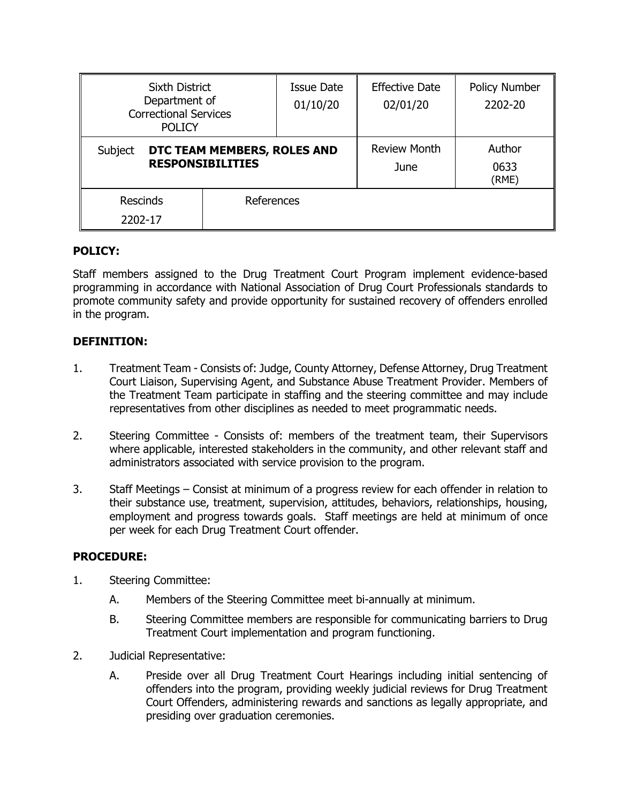| Sixth District<br>Department of<br><b>Correctional Services</b><br><b>POLICY</b> |  | Issue Date<br>01/10/20 | <b>Effective Date</b><br>02/01/20 | Policy Number<br>2202-20 |
|----------------------------------------------------------------------------------|--|------------------------|-----------------------------------|--------------------------|
| DTC TEAM MEMBERS, ROLES AND<br>Subject<br><b>RESPONSIBILITIES</b>                |  | Review Month<br>June   | Author<br>0633<br>(RME)           |                          |
| <b>Rescinds</b><br>2202-17                                                       |  | References             |                                   |                          |

# **POLICY:**

Staff members assigned to the Drug Treatment Court Program implement evidence-based programming in accordance with National Association of Drug Court Professionals standards to promote community safety and provide opportunity for sustained recovery of offenders enrolled in the program.

## **DEFINITION:**

- 1. Treatment Team Consists of: Judge, County Attorney, Defense Attorney, Drug Treatment Court Liaison, Supervising Agent, and Substance Abuse Treatment Provider. Members of the Treatment Team participate in staffing and the steering committee and may include representatives from other disciplines as needed to meet programmatic needs.
- 2. Steering Committee Consists of: members of the treatment team, their Supervisors where applicable, interested stakeholders in the community, and other relevant staff and administrators associated with service provision to the program.
- 3. Staff Meetings Consist at minimum of a progress review for each offender in relation to their substance use, treatment, supervision, attitudes, behaviors, relationships, housing, employment and progress towards goals. Staff meetings are held at minimum of once per week for each Drug Treatment Court offender.

## **PROCEDURE:**

- 1. Steering Committee:
	- A. Members of the Steering Committee meet bi-annually at minimum.
	- B. Steering Committee members are responsible for communicating barriers to Drug Treatment Court implementation and program functioning.
- 2. Judicial Representative:
	- A. Preside over all Drug Treatment Court Hearings including initial sentencing of offenders into the program, providing weekly judicial reviews for Drug Treatment Court Offenders, administering rewards and sanctions as legally appropriate, and presiding over graduation ceremonies.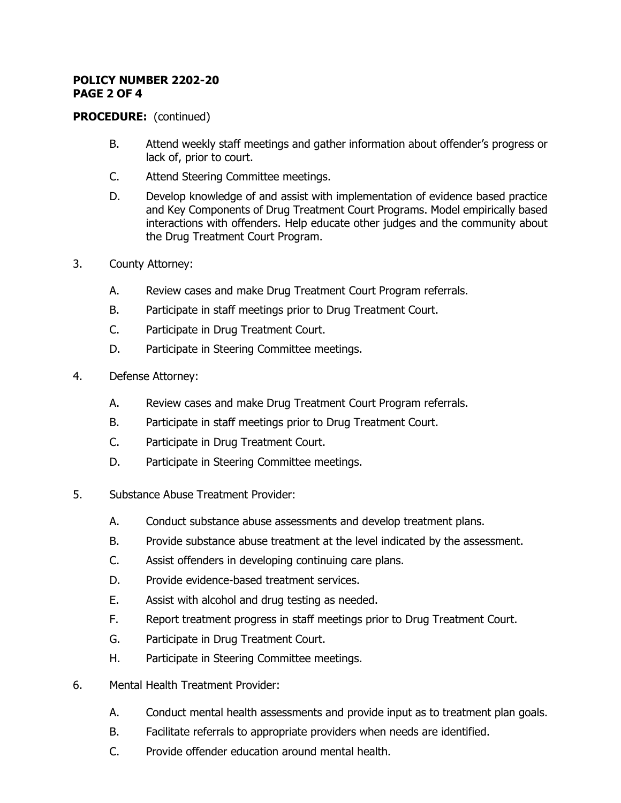### **POLICY NUMBER 2202-20 PAGE 2 OF 4**

## **PROCEDURE:** (continued)

- B. Attend weekly staff meetings and gather information about offender's progress or lack of, prior to court.
- C. Attend Steering Committee meetings.
- D. Develop knowledge of and assist with implementation of evidence based practice and Key Components of Drug Treatment Court Programs. Model empirically based interactions with offenders. Help educate other judges and the community about the Drug Treatment Court Program.
- 3. County Attorney:
	- A. Review cases and make Drug Treatment Court Program referrals.
	- B. Participate in staff meetings prior to Drug Treatment Court.
	- C. Participate in Drug Treatment Court.
	- D. Participate in Steering Committee meetings.
- 4. Defense Attorney:
	- A. Review cases and make Drug Treatment Court Program referrals.
	- B. Participate in staff meetings prior to Drug Treatment Court.
	- C. Participate in Drug Treatment Court.
	- D. Participate in Steering Committee meetings.
- 5. Substance Abuse Treatment Provider:
	- A. Conduct substance abuse assessments and develop treatment plans.
	- B. Provide substance abuse treatment at the level indicated by the assessment.
	- C. Assist offenders in developing continuing care plans.
	- D. Provide evidence-based treatment services.
	- E. Assist with alcohol and drug testing as needed.
	- F. Report treatment progress in staff meetings prior to Drug Treatment Court.
	- G. Participate in Drug Treatment Court.
	- H. Participate in Steering Committee meetings.
- 6. Mental Health Treatment Provider:
	- A. Conduct mental health assessments and provide input as to treatment plan goals.
	- B. Facilitate referrals to appropriate providers when needs are identified.
	- C. Provide offender education around mental health.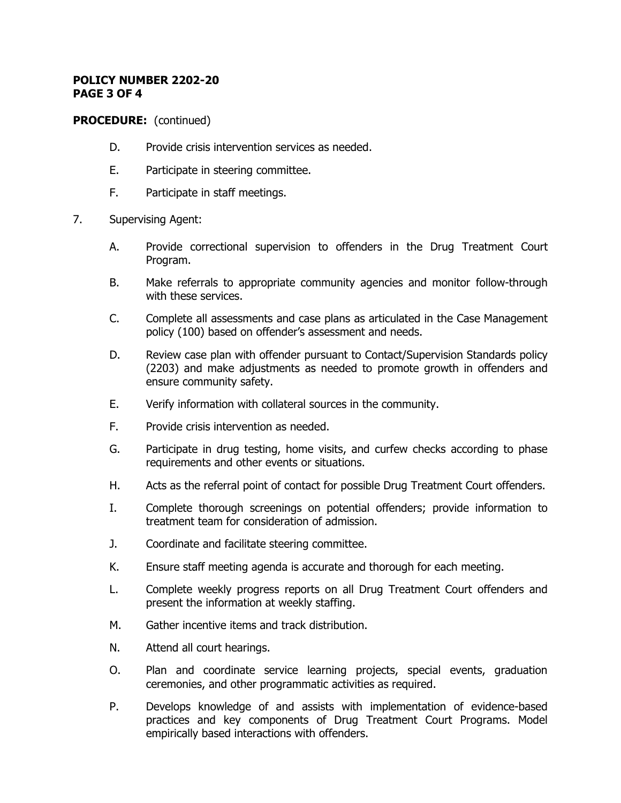#### **POLICY NUMBER 2202-20 PAGE 3 OF 4**

### **PROCEDURE:** (continued)

- D. Provide crisis intervention services as needed.
- E. Participate in steering committee.
- F. Participate in staff meetings.
- 7. Supervising Agent:
	- A. Provide correctional supervision to offenders in the Drug Treatment Court Program.
	- B. Make referrals to appropriate community agencies and monitor follow-through with these services.
	- C. Complete all assessments and case plans as articulated in the Case Management policy (100) based on offender's assessment and needs.
	- D. Review case plan with offender pursuant to Contact/Supervision Standards policy (2203) and make adjustments as needed to promote growth in offenders and ensure community safety.
	- E. Verify information with collateral sources in the community.
	- F. Provide crisis intervention as needed.
	- G. Participate in drug testing, home visits, and curfew checks according to phase requirements and other events or situations.
	- H. Acts as the referral point of contact for possible Drug Treatment Court offenders.
	- I. Complete thorough screenings on potential offenders; provide information to treatment team for consideration of admission.
	- J. Coordinate and facilitate steering committee.
	- K. Ensure staff meeting agenda is accurate and thorough for each meeting.
	- L. Complete weekly progress reports on all Drug Treatment Court offenders and present the information at weekly staffing.
	- M. Gather incentive items and track distribution.
	- N. Attend all court hearings.
	- O. Plan and coordinate service learning projects, special events, graduation ceremonies, and other programmatic activities as required.
	- P. Develops knowledge of and assists with implementation of evidence-based practices and key components of Drug Treatment Court Programs. Model empirically based interactions with offenders.